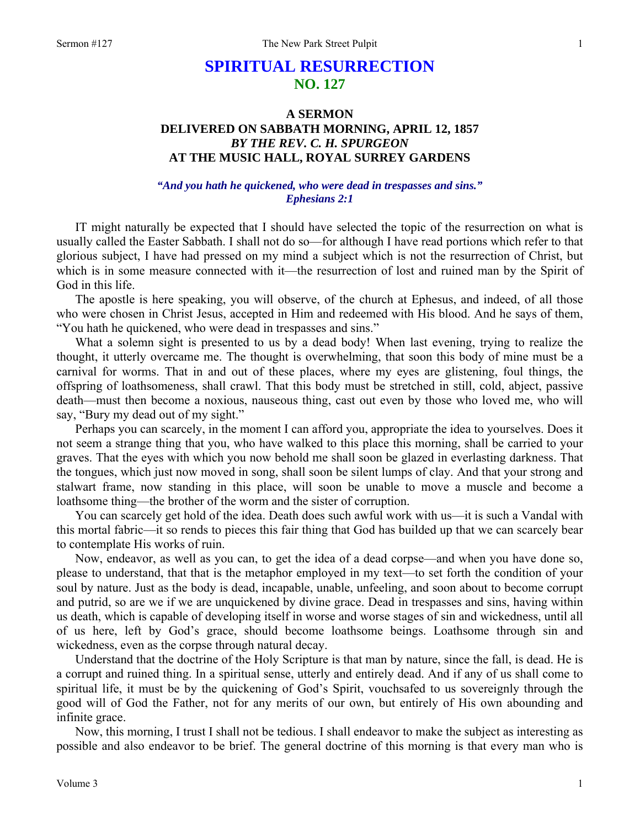# **SPIRITUAL RESURRECTION NO. 127**

## **A SERMON DELIVERED ON SABBATH MORNING, APRIL 12, 1857**  *BY THE REV. C. H. SPURGEON*  **AT THE MUSIC HALL, ROYAL SURREY GARDENS**

### *"And you hath he quickened, who were dead in trespasses and sins." Ephesians 2:1*

IT might naturally be expected that I should have selected the topic of the resurrection on what is usually called the Easter Sabbath. I shall not do so—for although I have read portions which refer to that glorious subject, I have had pressed on my mind a subject which is not the resurrection of Christ, but which is in some measure connected with it—the resurrection of lost and ruined man by the Spirit of God in this life.

The apostle is here speaking, you will observe, of the church at Ephesus, and indeed, of all those who were chosen in Christ Jesus, accepted in Him and redeemed with His blood. And he says of them, "You hath he quickened, who were dead in trespasses and sins."

What a solemn sight is presented to us by a dead body! When last evening, trying to realize the thought, it utterly overcame me. The thought is overwhelming, that soon this body of mine must be a carnival for worms. That in and out of these places, where my eyes are glistening, foul things, the offspring of loathsomeness, shall crawl. That this body must be stretched in still, cold, abject, passive death—must then become a noxious, nauseous thing, cast out even by those who loved me, who will say, "Bury my dead out of my sight."

Perhaps you can scarcely, in the moment I can afford you, appropriate the idea to yourselves. Does it not seem a strange thing that you, who have walked to this place this morning, shall be carried to your graves. That the eyes with which you now behold me shall soon be glazed in everlasting darkness. That the tongues, which just now moved in song, shall soon be silent lumps of clay. And that your strong and stalwart frame, now standing in this place, will soon be unable to move a muscle and become a loathsome thing—the brother of the worm and the sister of corruption.

You can scarcely get hold of the idea. Death does such awful work with us—it is such a Vandal with this mortal fabric—it so rends to pieces this fair thing that God has builded up that we can scarcely bear to contemplate His works of ruin.

Now, endeavor, as well as you can, to get the idea of a dead corpse—and when you have done so, please to understand, that that is the metaphor employed in my text—to set forth the condition of your soul by nature. Just as the body is dead, incapable, unable, unfeeling, and soon about to become corrupt and putrid, so are we if we are unquickened by divine grace. Dead in trespasses and sins, having within us death, which is capable of developing itself in worse and worse stages of sin and wickedness, until all of us here, left by God's grace, should become loathsome beings. Loathsome through sin and wickedness, even as the corpse through natural decay.

Understand that the doctrine of the Holy Scripture is that man by nature, since the fall, is dead. He is a corrupt and ruined thing. In a spiritual sense, utterly and entirely dead. And if any of us shall come to spiritual life, it must be by the quickening of God's Spirit, vouchsafed to us sovereignly through the good will of God the Father, not for any merits of our own, but entirely of His own abounding and infinite grace.

Now, this morning, I trust I shall not be tedious. I shall endeavor to make the subject as interesting as possible and also endeavor to be brief. The general doctrine of this morning is that every man who is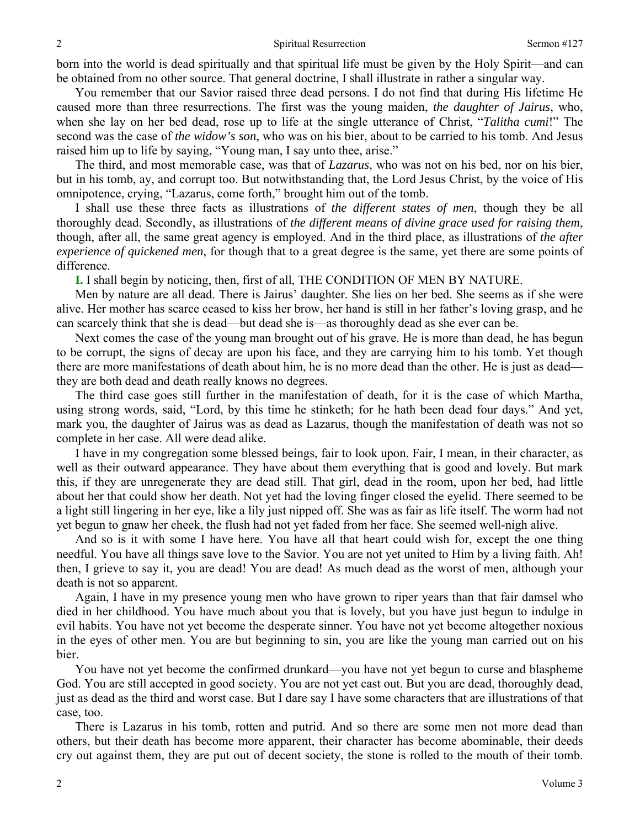born into the world is dead spiritually and that spiritual life must be given by the Holy Spirit—and can be obtained from no other source. That general doctrine, I shall illustrate in rather a singular way.

You remember that our Savior raised three dead persons. I do not find that during His lifetime He caused more than three resurrections. The first was the young maiden, *the daughter of Jairus*, who, when she lay on her bed dead, rose up to life at the single utterance of Christ, "*Talitha cumi*!" The second was the case of *the widow's son*, who was on his bier, about to be carried to his tomb. And Jesus raised him up to life by saying, "Young man, I say unto thee, arise."

The third, and most memorable case, was that of *Lazarus*, who was not on his bed, nor on his bier, but in his tomb, ay, and corrupt too. But notwithstanding that, the Lord Jesus Christ, by the voice of His omnipotence, crying, "Lazarus, come forth," brought him out of the tomb.

I shall use these three facts as illustrations of *the different states of men*, though they be all thoroughly dead. Secondly, as illustrations of *the different means of divine grace used for raising them*, though, after all, the same great agency is employed. And in the third place, as illustrations of *the after experience of quickened men*, for though that to a great degree is the same, yet there are some points of difference.

**I.** I shall begin by noticing, then, first of all, THE CONDITION OF MEN BY NATURE.

Men by nature are all dead. There is Jairus' daughter. She lies on her bed. She seems as if she were alive. Her mother has scarce ceased to kiss her brow, her hand is still in her father's loving grasp, and he can scarcely think that she is dead—but dead she is—as thoroughly dead as she ever can be.

Next comes the case of the young man brought out of his grave. He is more than dead, he has begun to be corrupt, the signs of decay are upon his face, and they are carrying him to his tomb. Yet though there are more manifestations of death about him, he is no more dead than the other. He is just as dead they are both dead and death really knows no degrees.

The third case goes still further in the manifestation of death, for it is the case of which Martha, using strong words, said, "Lord, by this time he stinketh; for he hath been dead four days." And yet, mark you, the daughter of Jairus was as dead as Lazarus, though the manifestation of death was not so complete in her case. All were dead alike.

I have in my congregation some blessed beings, fair to look upon. Fair, I mean, in their character, as well as their outward appearance. They have about them everything that is good and lovely. But mark this, if they are unregenerate they are dead still. That girl, dead in the room, upon her bed, had little about her that could show her death. Not yet had the loving finger closed the eyelid. There seemed to be a light still lingering in her eye, like a lily just nipped off. She was as fair as life itself. The worm had not yet begun to gnaw her cheek, the flush had not yet faded from her face. She seemed well-nigh alive.

And so is it with some I have here. You have all that heart could wish for, except the one thing needful. You have all things save love to the Savior. You are not yet united to Him by a living faith. Ah! then, I grieve to say it, you are dead! You are dead! As much dead as the worst of men, although your death is not so apparent.

Again, I have in my presence young men who have grown to riper years than that fair damsel who died in her childhood. You have much about you that is lovely, but you have just begun to indulge in evil habits. You have not yet become the desperate sinner. You have not yet become altogether noxious in the eyes of other men. You are but beginning to sin, you are like the young man carried out on his bier.

You have not yet become the confirmed drunkard—you have not yet begun to curse and blaspheme God. You are still accepted in good society. You are not yet cast out. But you are dead, thoroughly dead, just as dead as the third and worst case. But I dare say I have some characters that are illustrations of that case, too.

There is Lazarus in his tomb, rotten and putrid. And so there are some men not more dead than others, but their death has become more apparent, their character has become abominable, their deeds cry out against them, they are put out of decent society, the stone is rolled to the mouth of their tomb.

2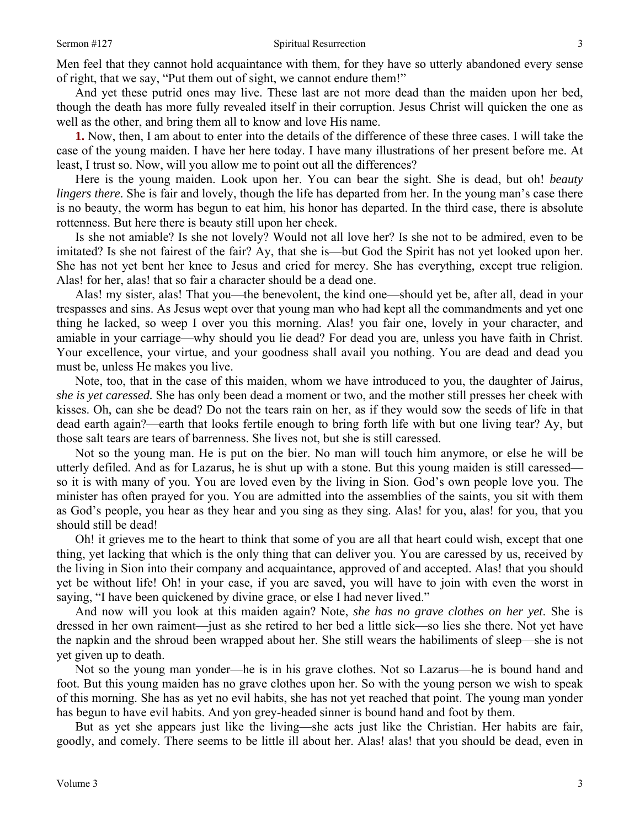Men feel that they cannot hold acquaintance with them, for they have so utterly abandoned every sense of right, that we say, "Put them out of sight, we cannot endure them!"

And yet these putrid ones may live. These last are not more dead than the maiden upon her bed, though the death has more fully revealed itself in their corruption. Jesus Christ will quicken the one as well as the other, and bring them all to know and love His name.

**1.** Now, then, I am about to enter into the details of the difference of these three cases. I will take the case of the young maiden. I have her here today. I have many illustrations of her present before me. At least, I trust so. Now, will you allow me to point out all the differences?

Here is the young maiden. Look upon her. You can bear the sight. She is dead, but oh! *beauty lingers there*. She is fair and lovely, though the life has departed from her. In the young man's case there is no beauty, the worm has begun to eat him, his honor has departed. In the third case, there is absolute rottenness. But here there is beauty still upon her cheek.

Is she not amiable? Is she not lovely? Would not all love her? Is she not to be admired, even to be imitated? Is she not fairest of the fair? Ay, that she is—but God the Spirit has not yet looked upon her. She has not yet bent her knee to Jesus and cried for mercy. She has everything, except true religion. Alas! for her, alas! that so fair a character should be a dead one.

Alas! my sister, alas! That you—the benevolent, the kind one—should yet be, after all, dead in your trespasses and sins. As Jesus wept over that young man who had kept all the commandments and yet one thing he lacked, so weep I over you this morning. Alas! you fair one, lovely in your character, and amiable in your carriage—why should you lie dead? For dead you are, unless you have faith in Christ. Your excellence, your virtue, and your goodness shall avail you nothing. You are dead and dead you must be, unless He makes you live.

Note, too, that in the case of this maiden, whom we have introduced to you, the daughter of Jairus, *she is yet caressed.* She has only been dead a moment or two, and the mother still presses her cheek with kisses. Oh, can she be dead? Do not the tears rain on her, as if they would sow the seeds of life in that dead earth again?—earth that looks fertile enough to bring forth life with but one living tear? Ay, but those salt tears are tears of barrenness. She lives not, but she is still caressed.

Not so the young man. He is put on the bier. No man will touch him anymore, or else he will be utterly defiled. And as for Lazarus, he is shut up with a stone. But this young maiden is still caressed so it is with many of you. You are loved even by the living in Sion. God's own people love you. The minister has often prayed for you. You are admitted into the assemblies of the saints, you sit with them as God's people, you hear as they hear and you sing as they sing. Alas! for you, alas! for you, that you should still be dead!

Oh! it grieves me to the heart to think that some of you are all that heart could wish, except that one thing, yet lacking that which is the only thing that can deliver you. You are caressed by us, received by the living in Sion into their company and acquaintance, approved of and accepted. Alas! that you should yet be without life! Oh! in your case, if you are saved, you will have to join with even the worst in saying, "I have been quickened by divine grace, or else I had never lived."

And now will you look at this maiden again? Note, *she has no grave clothes on her yet*. She is dressed in her own raiment—just as she retired to her bed a little sick—so lies she there. Not yet have the napkin and the shroud been wrapped about her. She still wears the habiliments of sleep—she is not yet given up to death.

Not so the young man yonder—he is in his grave clothes. Not so Lazarus—he is bound hand and foot. But this young maiden has no grave clothes upon her. So with the young person we wish to speak of this morning. She has as yet no evil habits, she has not yet reached that point. The young man yonder has begun to have evil habits. And yon grey-headed sinner is bound hand and foot by them.

But as yet she appears just like the living—she acts just like the Christian. Her habits are fair, goodly, and comely. There seems to be little ill about her. Alas! alas! that you should be dead, even in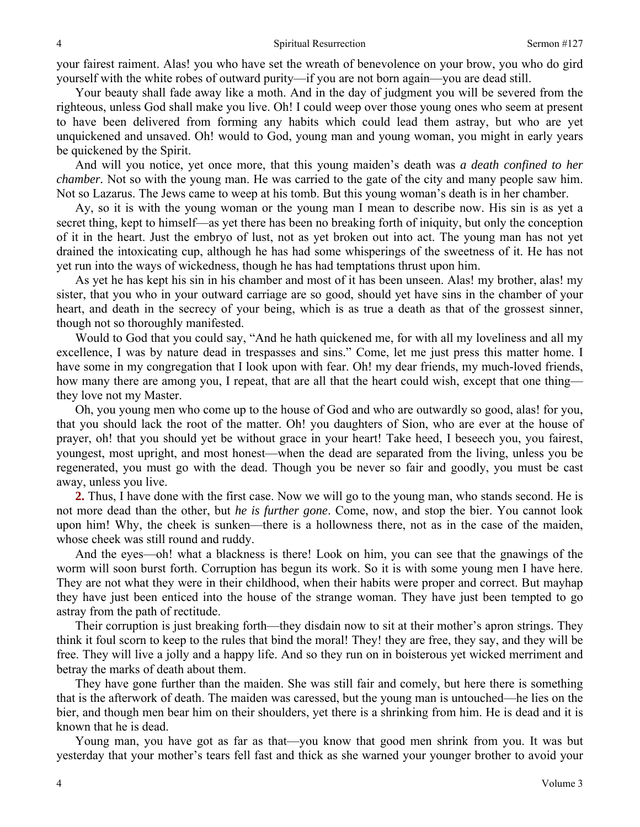your fairest raiment. Alas! you who have set the wreath of benevolence on your brow, you who do gird yourself with the white robes of outward purity—if you are not born again—you are dead still.

Your beauty shall fade away like a moth. And in the day of judgment you will be severed from the righteous, unless God shall make you live. Oh! I could weep over those young ones who seem at present to have been delivered from forming any habits which could lead them astray, but who are yet unquickened and unsaved. Oh! would to God, young man and young woman, you might in early years be quickened by the Spirit.

And will you notice, yet once more, that this young maiden's death was *a death confined to her chamber.* Not so with the young man. He was carried to the gate of the city and many people saw him. Not so Lazarus. The Jews came to weep at his tomb. But this young woman's death is in her chamber.

Ay, so it is with the young woman or the young man I mean to describe now. His sin is as yet a secret thing, kept to himself—as yet there has been no breaking forth of iniquity, but only the conception of it in the heart. Just the embryo of lust, not as yet broken out into act. The young man has not yet drained the intoxicating cup, although he has had some whisperings of the sweetness of it. He has not yet run into the ways of wickedness, though he has had temptations thrust upon him.

As yet he has kept his sin in his chamber and most of it has been unseen. Alas! my brother, alas! my sister, that you who in your outward carriage are so good, should yet have sins in the chamber of your heart, and death in the secrecy of your being, which is as true a death as that of the grossest sinner, though not so thoroughly manifested.

Would to God that you could say, "And he hath quickened me, for with all my loveliness and all my excellence, I was by nature dead in trespasses and sins." Come, let me just press this matter home. I have some in my congregation that I look upon with fear. Oh! my dear friends, my much-loved friends, how many there are among you, I repeat, that are all that the heart could wish, except that one thing they love not my Master.

Oh, you young men who come up to the house of God and who are outwardly so good, alas! for you, that you should lack the root of the matter. Oh! you daughters of Sion, who are ever at the house of prayer, oh! that you should yet be without grace in your heart! Take heed, I beseech you, you fairest, youngest, most upright, and most honest—when the dead are separated from the living, unless you be regenerated, you must go with the dead. Though you be never so fair and goodly, you must be cast away, unless you live.

**2.** Thus, I have done with the first case. Now we will go to the young man, who stands second. He is not more dead than the other, but *he is further gone*. Come, now, and stop the bier. You cannot look upon him! Why, the cheek is sunken—there is a hollowness there, not as in the case of the maiden, whose cheek was still round and ruddy.

And the eyes—oh! what a blackness is there! Look on him, you can see that the gnawings of the worm will soon burst forth. Corruption has begun its work. So it is with some young men I have here. They are not what they were in their childhood, when their habits were proper and correct. But mayhap they have just been enticed into the house of the strange woman. They have just been tempted to go astray from the path of rectitude.

Their corruption is just breaking forth—they disdain now to sit at their mother's apron strings. They think it foul scorn to keep to the rules that bind the moral! They! they are free, they say, and they will be free. They will live a jolly and a happy life. And so they run on in boisterous yet wicked merriment and betray the marks of death about them.

They have gone further than the maiden. She was still fair and comely, but here there is something that is the afterwork of death. The maiden was caressed, but the young man is untouched—he lies on the bier, and though men bear him on their shoulders, yet there is a shrinking from him. He is dead and it is known that he is dead.

Young man, you have got as far as that—you know that good men shrink from you. It was but yesterday that your mother's tears fell fast and thick as she warned your younger brother to avoid your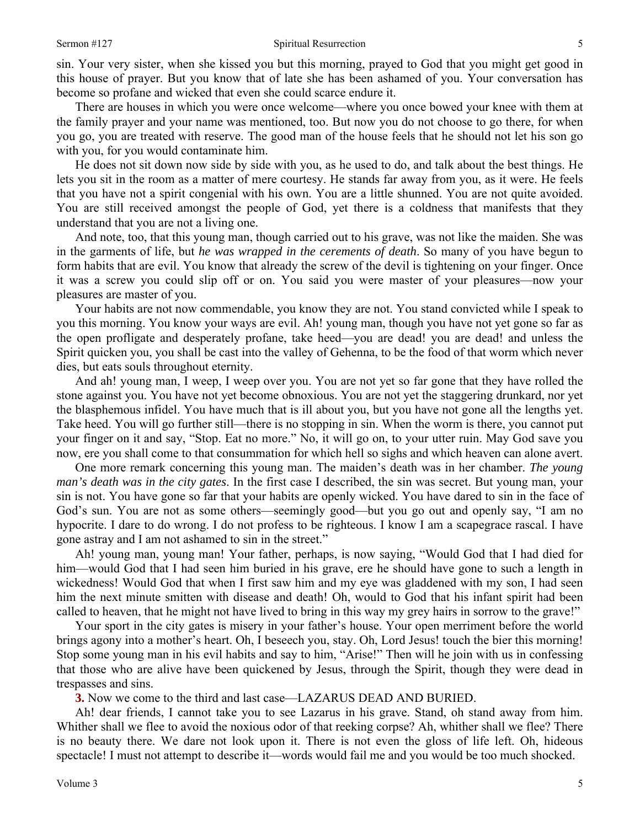sin. Your very sister, when she kissed you but this morning, prayed to God that you might get good in this house of prayer. But you know that of late she has been ashamed of you. Your conversation has become so profane and wicked that even she could scarce endure it.

There are houses in which you were once welcome—where you once bowed your knee with them at the family prayer and your name was mentioned, too. But now you do not choose to go there, for when you go, you are treated with reserve. The good man of the house feels that he should not let his son go with you, for you would contaminate him.

He does not sit down now side by side with you, as he used to do, and talk about the best things. He lets you sit in the room as a matter of mere courtesy. He stands far away from you, as it were. He feels that you have not a spirit congenial with his own. You are a little shunned. You are not quite avoided. You are still received amongst the people of God, yet there is a coldness that manifests that they understand that you are not a living one.

And note, too, that this young man, though carried out to his grave, was not like the maiden. She was in the garments of life, but *he was wrapped in the cerements of death*. So many of you have begun to form habits that are evil. You know that already the screw of the devil is tightening on your finger. Once it was a screw you could slip off or on. You said you were master of your pleasures—now your pleasures are master of you.

Your habits are not now commendable, you know they are not. You stand convicted while I speak to you this morning. You know your ways are evil. Ah! young man, though you have not yet gone so far as the open profligate and desperately profane, take heed—you are dead! you are dead! and unless the Spirit quicken you, you shall be cast into the valley of Gehenna, to be the food of that worm which never dies, but eats souls throughout eternity.

And ah! young man, I weep, I weep over you. You are not yet so far gone that they have rolled the stone against you. You have not yet become obnoxious. You are not yet the staggering drunkard, nor yet the blasphemous infidel. You have much that is ill about you, but you have not gone all the lengths yet. Take heed. You will go further still—there is no stopping in sin. When the worm is there, you cannot put your finger on it and say, "Stop. Eat no more." No, it will go on, to your utter ruin. May God save you now, ere you shall come to that consummation for which hell so sighs and which heaven can alone avert.

One more remark concerning this young man. The maiden's death was in her chamber. *The young man's death was in the city gates*. In the first case I described, the sin was secret. But young man, your sin is not. You have gone so far that your habits are openly wicked. You have dared to sin in the face of God's sun. You are not as some others—seemingly good—but you go out and openly say, "I am no hypocrite. I dare to do wrong. I do not profess to be righteous. I know I am a scapegrace rascal. I have gone astray and I am not ashamed to sin in the street."

Ah! young man, young man! Your father, perhaps, is now saying, "Would God that I had died for him—would God that I had seen him buried in his grave, ere he should have gone to such a length in wickedness! Would God that when I first saw him and my eye was gladdened with my son, I had seen him the next minute smitten with disease and death! Oh, would to God that his infant spirit had been called to heaven, that he might not have lived to bring in this way my grey hairs in sorrow to the grave!"

Your sport in the city gates is misery in your father's house. Your open merriment before the world brings agony into a mother's heart. Oh, I beseech you, stay. Oh, Lord Jesus! touch the bier this morning! Stop some young man in his evil habits and say to him, "Arise!" Then will he join with us in confessing that those who are alive have been quickened by Jesus, through the Spirit, though they were dead in trespasses and sins.

**3.** Now we come to the third and last case—LAZARUS DEAD AND BURIED.

Ah! dear friends, I cannot take you to see Lazarus in his grave. Stand, oh stand away from him. Whither shall we flee to avoid the noxious odor of that reeking corpse? Ah, whither shall we flee? There is no beauty there. We dare not look upon it. There is not even the gloss of life left. Oh, hideous spectacle! I must not attempt to describe it—words would fail me and you would be too much shocked.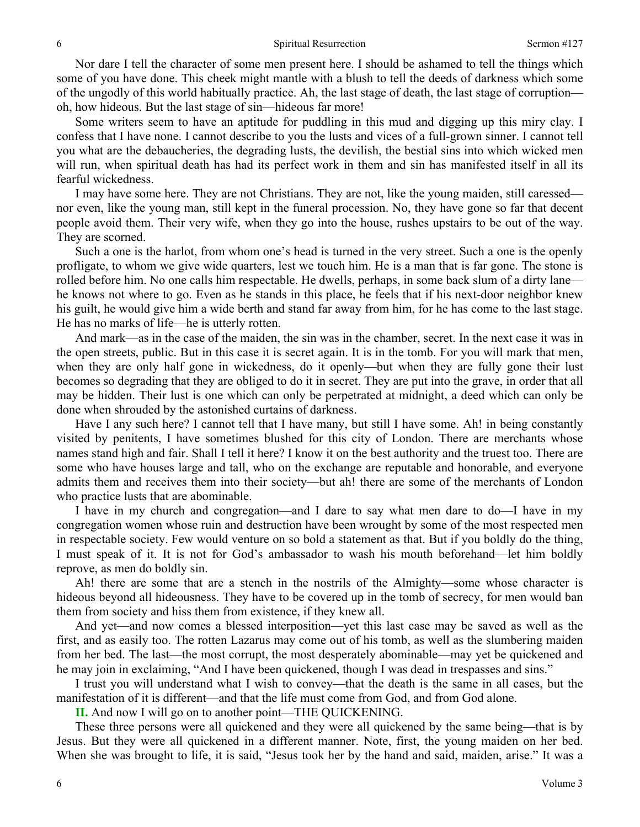Nor dare I tell the character of some men present here. I should be ashamed to tell the things which some of you have done. This cheek might mantle with a blush to tell the deeds of darkness which some of the ungodly of this world habitually practice. Ah, the last stage of death, the last stage of corruption oh, how hideous. But the last stage of sin—hideous far more!

Some writers seem to have an aptitude for puddling in this mud and digging up this miry clay. I confess that I have none. I cannot describe to you the lusts and vices of a full-grown sinner. I cannot tell you what are the debaucheries, the degrading lusts, the devilish, the bestial sins into which wicked men will run, when spiritual death has had its perfect work in them and sin has manifested itself in all its fearful wickedness.

I may have some here. They are not Christians. They are not, like the young maiden, still caressed nor even, like the young man, still kept in the funeral procession. No, they have gone so far that decent people avoid them. Their very wife, when they go into the house, rushes upstairs to be out of the way. They are scorned.

Such a one is the harlot, from whom one's head is turned in the very street. Such a one is the openly profligate, to whom we give wide quarters, lest we touch him. He is a man that is far gone. The stone is rolled before him. No one calls him respectable. He dwells, perhaps, in some back slum of a dirty lane he knows not where to go. Even as he stands in this place, he feels that if his next-door neighbor knew his guilt, he would give him a wide berth and stand far away from him, for he has come to the last stage. He has no marks of life—he is utterly rotten.

And mark—as in the case of the maiden, the sin was in the chamber, secret. In the next case it was in the open streets, public. But in this case it is secret again. It is in the tomb. For you will mark that men, when they are only half gone in wickedness, do it openly—but when they are fully gone their lust becomes so degrading that they are obliged to do it in secret. They are put into the grave, in order that all may be hidden. Their lust is one which can only be perpetrated at midnight, a deed which can only be done when shrouded by the astonished curtains of darkness.

Have I any such here? I cannot tell that I have many, but still I have some. Ah! in being constantly visited by penitents, I have sometimes blushed for this city of London. There are merchants whose names stand high and fair. Shall I tell it here? I know it on the best authority and the truest too. There are some who have houses large and tall, who on the exchange are reputable and honorable, and everyone admits them and receives them into their society—but ah! there are some of the merchants of London who practice lusts that are abominable.

I have in my church and congregation—and I dare to say what men dare to do—I have in my congregation women whose ruin and destruction have been wrought by some of the most respected men in respectable society. Few would venture on so bold a statement as that. But if you boldly do the thing, I must speak of it. It is not for God's ambassador to wash his mouth beforehand—let him boldly reprove, as men do boldly sin.

Ah! there are some that are a stench in the nostrils of the Almighty—some whose character is hideous beyond all hideousness. They have to be covered up in the tomb of secrecy, for men would ban them from society and hiss them from existence, if they knew all.

And yet—and now comes a blessed interposition—yet this last case may be saved as well as the first, and as easily too. The rotten Lazarus may come out of his tomb, as well as the slumbering maiden from her bed. The last—the most corrupt, the most desperately abominable—may yet be quickened and he may join in exclaiming, "And I have been quickened, though I was dead in trespasses and sins."

I trust you will understand what I wish to convey—that the death is the same in all cases, but the manifestation of it is different—and that the life must come from God, and from God alone.

**II.** And now I will go on to another point—THE QUICKENING.

These three persons were all quickened and they were all quickened by the same being—that is by Jesus. But they were all quickened in a different manner. Note, first, the young maiden on her bed. When she was brought to life, it is said, "Jesus took her by the hand and said, maiden, arise." It was a

6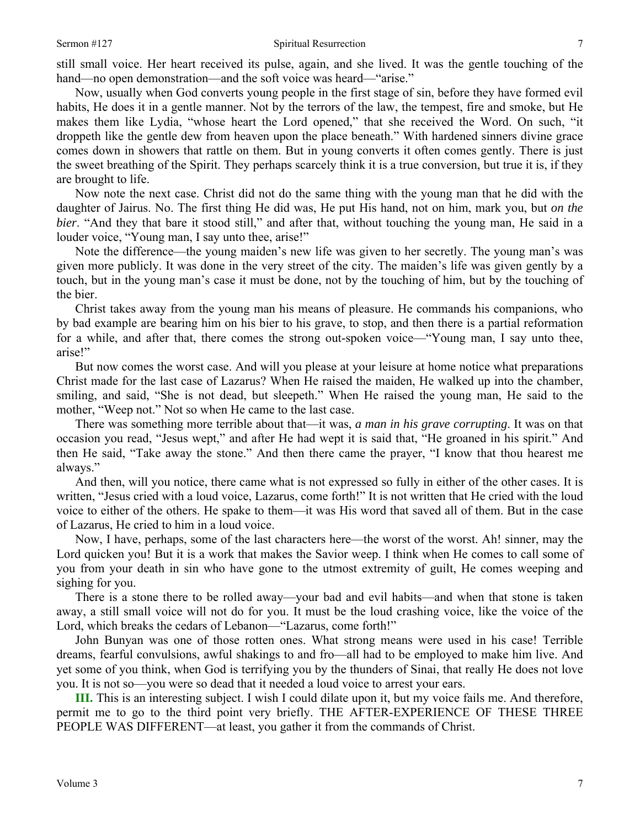#### Sermon #127 Spiritual Resurrection

still small voice. Her heart received its pulse, again, and she lived. It was the gentle touching of the hand—no open demonstration—and the soft voice was heard—"arise."

Now, usually when God converts young people in the first stage of sin, before they have formed evil habits, He does it in a gentle manner. Not by the terrors of the law, the tempest, fire and smoke, but He makes them like Lydia, "whose heart the Lord opened," that she received the Word. On such, "it droppeth like the gentle dew from heaven upon the place beneath." With hardened sinners divine grace comes down in showers that rattle on them. But in young converts it often comes gently. There is just the sweet breathing of the Spirit. They perhaps scarcely think it is a true conversion, but true it is, if they are brought to life.

Now note the next case. Christ did not do the same thing with the young man that he did with the daughter of Jairus. No. The first thing He did was, He put His hand, not on him, mark you, but *on the bier*. "And they that bare it stood still," and after that, without touching the young man, He said in a louder voice, "Young man, I say unto thee, arise!"

Note the difference—the young maiden's new life was given to her secretly. The young man's was given more publicly. It was done in the very street of the city. The maiden's life was given gently by a touch, but in the young man's case it must be done, not by the touching of him, but by the touching of the bier.

Christ takes away from the young man his means of pleasure. He commands his companions, who by bad example are bearing him on his bier to his grave, to stop, and then there is a partial reformation for a while, and after that, there comes the strong out-spoken voice—"Young man, I say unto thee, arise!"

But now comes the worst case. And will you please at your leisure at home notice what preparations Christ made for the last case of Lazarus? When He raised the maiden, He walked up into the chamber, smiling, and said, "She is not dead, but sleepeth." When He raised the young man, He said to the mother, "Weep not." Not so when He came to the last case.

There was something more terrible about that—it was, *a man in his grave corrupting*. It was on that occasion you read, "Jesus wept," and after He had wept it is said that, "He groaned in his spirit." And then He said, "Take away the stone." And then there came the prayer, "I know that thou hearest me always."

And then, will you notice, there came what is not expressed so fully in either of the other cases. It is written, "Jesus cried with a loud voice, Lazarus, come forth!" It is not written that He cried with the loud voice to either of the others. He spake to them—it was His word that saved all of them. But in the case of Lazarus, He cried to him in a loud voice.

Now, I have, perhaps, some of the last characters here—the worst of the worst. Ah! sinner, may the Lord quicken you! But it is a work that makes the Savior weep. I think when He comes to call some of you from your death in sin who have gone to the utmost extremity of guilt, He comes weeping and sighing for you.

There is a stone there to be rolled away—your bad and evil habits—and when that stone is taken away, a still small voice will not do for you. It must be the loud crashing voice, like the voice of the Lord, which breaks the cedars of Lebanon—"Lazarus, come forth!"

John Bunyan was one of those rotten ones. What strong means were used in his case! Terrible dreams, fearful convulsions, awful shakings to and fro—all had to be employed to make him live. And yet some of you think, when God is terrifying you by the thunders of Sinai, that really He does not love you. It is not so—you were so dead that it needed a loud voice to arrest your ears.

**III.** This is an interesting subject. I wish I could dilate upon it, but my voice fails me. And therefore, permit me to go to the third point very briefly. THE AFTER-EXPERIENCE OF THESE THREE PEOPLE WAS DIFFERENT—at least, you gather it from the commands of Christ.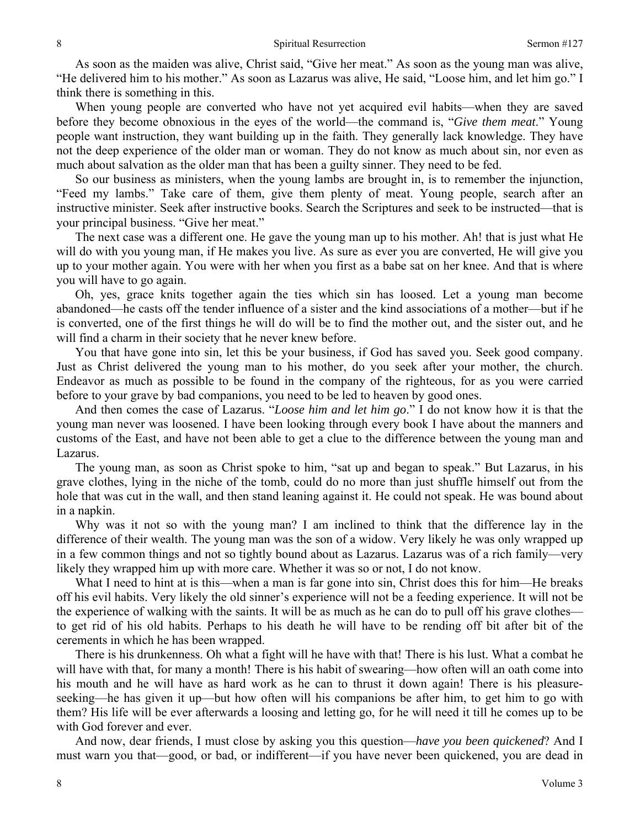As soon as the maiden was alive, Christ said, "Give her meat." As soon as the young man was alive, "He delivered him to his mother." As soon as Lazarus was alive, He said, "Loose him, and let him go." I think there is something in this.

When young people are converted who have not yet acquired evil habits—when they are saved before they become obnoxious in the eyes of the world—the command is, "*Give them meat*." Young people want instruction, they want building up in the faith. They generally lack knowledge. They have not the deep experience of the older man or woman. They do not know as much about sin, nor even as much about salvation as the older man that has been a guilty sinner. They need to be fed.

So our business as ministers, when the young lambs are brought in, is to remember the injunction, "Feed my lambs." Take care of them, give them plenty of meat. Young people, search after an instructive minister. Seek after instructive books. Search the Scriptures and seek to be instructed—that is your principal business. "Give her meat."

The next case was a different one. He gave the young man up to his mother. Ah! that is just what He will do with you young man, if He makes you live. As sure as ever you are converted, He will give you up to your mother again. You were with her when you first as a babe sat on her knee. And that is where you will have to go again.

Oh, yes, grace knits together again the ties which sin has loosed. Let a young man become abandoned—he casts off the tender influence of a sister and the kind associations of a mother—but if he is converted, one of the first things he will do will be to find the mother out, and the sister out, and he will find a charm in their society that he never knew before.

You that have gone into sin, let this be your business, if God has saved you. Seek good company. Just as Christ delivered the young man to his mother, do you seek after your mother, the church. Endeavor as much as possible to be found in the company of the righteous, for as you were carried before to your grave by bad companions, you need to be led to heaven by good ones.

And then comes the case of Lazarus. "*Loose him and let him go*." I do not know how it is that the young man never was loosened. I have been looking through every book I have about the manners and customs of the East, and have not been able to get a clue to the difference between the young man and Lazarus.

The young man, as soon as Christ spoke to him, "sat up and began to speak." But Lazarus, in his grave clothes, lying in the niche of the tomb, could do no more than just shuffle himself out from the hole that was cut in the wall, and then stand leaning against it. He could not speak. He was bound about in a napkin.

Why was it not so with the young man? I am inclined to think that the difference lay in the difference of their wealth. The young man was the son of a widow. Very likely he was only wrapped up in a few common things and not so tightly bound about as Lazarus. Lazarus was of a rich family—very likely they wrapped him up with more care. Whether it was so or not, I do not know.

What I need to hint at is this—when a man is far gone into sin, Christ does this for him—He breaks off his evil habits. Very likely the old sinner's experience will not be a feeding experience. It will not be the experience of walking with the saints. It will be as much as he can do to pull off his grave clothes to get rid of his old habits. Perhaps to his death he will have to be rending off bit after bit of the cerements in which he has been wrapped.

There is his drunkenness. Oh what a fight will he have with that! There is his lust. What a combat he will have with that, for many a month! There is his habit of swearing—how often will an oath come into his mouth and he will have as hard work as he can to thrust it down again! There is his pleasureseeking—he has given it up—but how often will his companions be after him, to get him to go with them? His life will be ever afterwards a loosing and letting go, for he will need it till he comes up to be with God forever and ever.

And now, dear friends, I must close by asking you this question—*have you been quickened*? And I must warn you that—good, or bad, or indifferent—if you have never been quickened, you are dead in